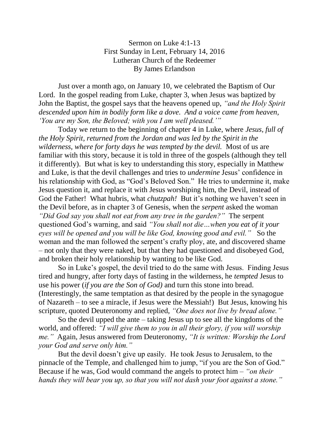Sermon on Luke 4:1-13 First Sunday in Lent, February 14, 2016 Lutheran Church of the Redeemer By James Erlandson

Just over a month ago, on January 10, we celebrated the Baptism of Our Lord. In the gospel reading from Luke, chapter 3, when Jesus was baptized by John the Baptist, the gospel says that the heavens opened up, *"and the Holy Spirit descended upon him in bodily form like a dove. And a voice came from heaven, 'You are my Son, the Beloved; with you I am well pleased.'"*

Today we return to the beginning of chapter 4 in Luke, where *Jesus, full of the Holy Spirit, returned from the Jordan and was led by the Spirit in the wilderness, where for forty days he was tempted by the devil.* Most of us are familiar with this story, because it is told in three of the gospels (although they tell it differently). But what is key to understanding this story, especially in Matthew and Luke, is that the devil challenges and tries to *undermine* Jesus' confidence in his relationship with God, as "God's Beloved Son." He tries to undermine it, make Jesus question it, and replace it with Jesus worshiping him, the Devil, instead of God the Father! What hubris, what *chutzpah!* But it's nothing we haven't seen in the Devil before, as in chapter 3 of Genesis, when the *serpent* asked the woman *"Did God say you shall not eat from any tree in the garden?"* The serpent questioned God's warning, and said *"You shall not die…when you eat of it your eyes will be opened and you will be like God, knowing good and evil."* So the woman and the man followed the serpent's crafty ploy, ate, and discovered shame – not only that they were naked, but that they had questioned and disobeyed God, and broken their holy relationship by wanting to be like God.

So in Luke's gospel, the devil tried to do the same with Jesus. Finding Jesus tired and hungry, after forty days of fasting in the wilderness, he *tempted* Jesus to use his power (*if you are the Son of God)* and turn this stone into bread. (Interestingly, the same temptation as that desired by the people in the synagogue of Nazareth – to see a miracle, if Jesus were the Messiah!) But Jesus, knowing his scripture, quoted Deuteronomy and replied, *"One does not live by bread alone."*

So the devil upped the ante – taking Jesus up to see all the kingdoms of the world, and offered: *"I will give them to you in all their glory, if you will worship me."* Again, Jesus answered from Deuteronomy, *"It is written: Worship the Lord your God and serve only him."*

But the devil doesn't give up easily. He took Jesus to Jerusalem, to the pinnacle of the Temple, and challenged him to jump, "if you are the Son of God." Because if he was, God would command the angels to protect him – *"on their hands they will bear you up, so that you will not dash your foot against a stone."*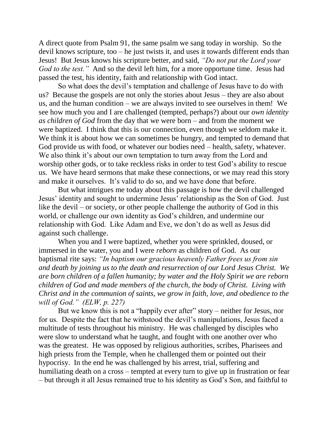A direct quote from Psalm 91, the same psalm we sang today in worship. So the devil knows scripture, too – he just twists it, and uses it towards different ends than Jesus! But Jesus knows his scripture better, and said, *"Do not put the Lord your God to the test.*" And so the devil left him, for a more opportune time. Jesus had passed the test, his identity, faith and relationship with God intact.

So what does the devil's temptation and challenge of Jesus have to do with us? Because the gospels are not only the stories about Jesus – they are also about us, and the human condition – we are always invited to see ourselves in them! We see how much you and I are challenged (tempted, perhaps?) about our *own identity as children of God* from the day that we were born – and from the moment we were baptized. I think that this is our connection, even though we seldom make it. We think it is about how we can sometimes be hungry, and tempted to demand that God provide us with food, or whatever our bodies need – health, safety, whatever. We also think it's about our own temptation to turn away from the Lord and worship other gods, or to take reckless risks in order to test God's ability to rescue us. We have heard sermons that make these connections, or we may read this story and make it ourselves. It's valid to do so, and we have done that before.

But what intrigues me today about this passage is how the devil challenged Jesus' identity and sought to undermine Jesus' relationship as the Son of God. Just like the devil – or society, or other people challenge the authority of God in this world, or challenge our own identity as God's children, and undermine our relationship with God. Like Adam and Eve, we don't do as well as Jesus did against such challenge.

When you and I were baptized, whether you were sprinkled, doused, or immersed in the water, you and I were *reborn* as children of God. As our baptismal rite says: *"In baptism our gracious heavenly Father frees us from sin and death by joining us to the death and resurrection of our Lord Jesus Christ. We are born children of a fallen humanity; by water and the Holy Spirit we are reborn children of God and made members of the church, the body of Christ. Living with Christ and in the communion of saints, we grow in faith, love, and obedience to the will of God." (ELW, p. 227)*

But we know this is not a "happily ever after" story – neither for Jesus, nor for us. Despite the fact that he withstood the devil's manipulations, Jesus faced a multitude of tests throughout his ministry. He was challenged by disciples who were slow to understand what he taught, and fought with one another over who was the greatest. He was opposed by religious authorities, scribes, Pharisees and high priests from the Temple, when he challenged them or pointed out their hypocrisy. In the end he was challenged by his arrest, trial, suffering and humiliating death on a cross – tempted at every turn to give up in frustration or fear – but through it all Jesus remained true to his identity as God's Son, and faithful to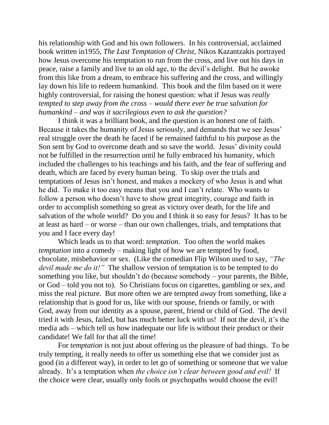his relationship with God and his own followers. In his controversial, acclaimed book written in1955, *The Last Temptation of Christ,* Nikos Kazantzakis portrayed how Jesus overcome his temptation to run from the cross, and live out his days in peace, raise a family and live to an old age, to the devil's delight. But he awoke from this like from a dream, to embrace his suffering and the cross, and willingly lay down his life to redeem humankind. This book and the film based on it were highly controversial, for raising the honest question: what if Jesus was *really tempted to step away from the cross – would there ever be true salvation for humankind – and was it sacrilegious even to ask the question?*

I think it was a brilliant book, and the question is an honest one of faith. Because it takes the humanity of Jesus seriously, and demands that we see Jesus' real struggle over the death he faced if he remained faithful to his purpose as the Son sent by God to overcome death and so save the world. Jesus' divinity could not be fulfilled in the resurrection until he fully embraced his humanity, which included the challenges to his teachings and his faith, and the fear of suffering and death, which are faced by every human being. To skip over the trials and temptations of Jesus isn't honest, and makes a mockery of who Jesus is and what he did. To make it too easy means that you and I can't relate. Who wants to follow a person who doesn't have to show great integrity, courage and faith in order to accomplish something so great as victory over death, for the life and salvation of the whole world? Do you and I think it so easy for Jesus? It has to be at least as hard – or worse – than our own challenges, trials, and temptations that you and I face every day!

Which leads us to that word: *temptation*. Too often the world makes *temptation* into a comedy – making light of how we are tempted by food, chocolate, misbehavior or sex. (Like the comedian Flip Wilson used to say, *"The devil made me do it!"* The shallow version of temptation is to be tempted to do something you like, but shouldn't do (because somebody – your parents, the Bible, or God – told you not to). So Christians focus on cigarettes, gambling or sex, and miss the real picture. But more often we are tempted *away* from something, like a relationship that is good for us, like with our spouse, friends or family, or with God, away from our identity as a spouse, parent, friend or child of God. The devil tried it with Jesus, failed, but has much better luck with us! If not the devil, it's the media ads – which tell us how inadequate our life is without their product or their candidate! We fall for that all the time!

For *temptation* is not just about offering us the pleasure of bad things. To be truly tempting, it really needs to offer us something else that we consider just as good (in a different way), in order to let go of something or someone that we value already. It's a temptation when *the choice isn't clear between good and evil!* If the choice were clear, usually only fools or psychopaths would choose the evil!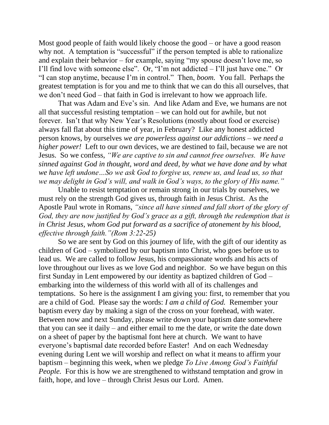Most good people of faith would likely choose the good – or have a good reason why not. A temptation is "successful" if the person tempted is able to rationalize and explain their behavior – for example, saying "my spouse doesn't love me, so I'll find love with someone else". Or, "I'm not addicted – I'll just have one." Or "I can stop anytime, because I'm in control." Then, *boom.* You fall. Perhaps the greatest temptation is for you and me to think that we can do this all ourselves, that we don't need God – that faith in God is irrelevant to how we approach life.

That was Adam and Eve's sin. And like Adam and Eve, we humans are not all that successful resisting temptation – we can hold out for awhile, but not forever. Isn't that why New Year's Resolutions (mostly about food or exercise) always fall flat about this time of year, in February? Like any honest addicted person knows, by ourselves *we are powerless against our addictions – we need a higher power!* Left to our own devices, we are destined to fail, because we are not Jesus. So we confess, *"We are captive to sin and cannot free ourselves. We have sinned against God in thought, word and deed, by what we have done and by what we have left undone…So we ask God to forgive us, renew us, and lead us, so that we may delight in God's will, and walk in God's ways, to the glory of His name."*

Unable to resist temptation or remain strong in our trials by ourselves, we must rely on the strength God gives us, through faith in Jesus Christ. As the Apostle Paul wrote in Romans, *"since all have sinned and fall short of the glory of God, they are now justified by God's grace as a gift, through the redemption that is in Christ Jesus, whom God put forward as a sacrifice of atonement by his blood, effective through faith."(Rom 3:22-25)* 

So we are sent by God on this journey of life, with the gift of our identity as children of God – symbolized by our baptism into Christ, who goes before us to lead us. We are called to follow Jesus, his compassionate words and his acts of love throughout our lives as we love God and neighbor. So we have begun on this first Sunday in Lent empowered by our identity as baptized children of God – embarking into the wilderness of this world with all of its challenges and temptations. So here is the assignment I am giving you: first, to remember that you are a child of God. Please say the words: *I am a child of God.* Remember your baptism every day by making a sign of the cross on your forehead, with water. Between now and next Sunday, please write down your baptism date somewhere that you can see it daily – and either email to me the date, or write the date down on a sheet of paper by the baptismal font here at church. We want to have everyone's baptismal date recorded before Easter! And on each Wednesday evening during Lent we will worship and reflect on what it means to affirm your baptism – beginning this week, when we pledge *To Live Among God's Faithful People.* For this is how we are strengthened to withstand temptation and grow in faith, hope, and love – through Christ Jesus our Lord. Amen.